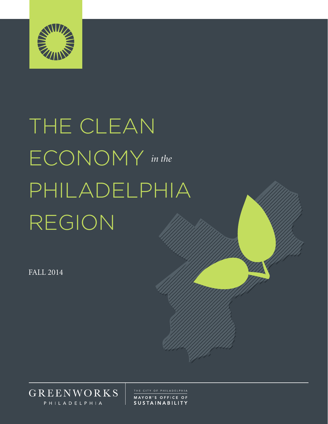

# THE CLEAN ECONOMY *in the* PHILADELPHIA REGION

FALL 2014



MAYOR'S OFFICE OF **SUSTAINABILITY**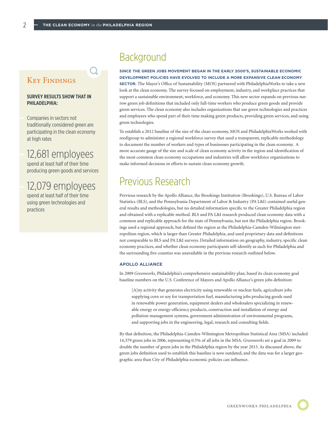### Key Findings

#### **SURVEY RESULTS SHOW THAT IN PHILADELPHIA:**

Companies in sectors not traditionally considered green are participating in the clean economy at high rates

# 12,681 employees

spend at least half of their time producing green goods and services

## 12,079 employees

spend at least half of their time using green technologies and practices

# **Background**

#### **SINCE THE GREEN JOBS MOVEMENT BEGAN IN THE EARLY 2000'S, SUSTAINABLE ECONOMIC DEVELOPMENT POLICIES HAVE EVOLVED TO INCLUDE A MORE EXPANSIVE CLEAN ECONOMY**

**SECTOR.** The Mayor's Office of Sustainability (MOS) partnered with PhiladelphiaWorks to take a new look at the clean economy. The survey focused on employment, industry, and workplace practices that support a sustainable environment, workforce, and economy. This new sector expands on previous narrow green job definitions that included only full-time workers who produce green goods and provide green services. The clean economy also includes organizations that use green technologies and practices and employees who spend part of their time making green products, providing green services, and using green technologies.

To establish a 2012 baseline of the size of the clean economy, MOS and PhiladelphiaWorks worked with reed|group to administer a regional workforce survey that used a transparent, replicable methodology to document the number of workers and types of businesses participating in the clean economy. A more accurate gauge of the size and scale of clean economy activity in the region and identification of the most common clean economy occupations and industries will allow workforce organizations to make informed decisions in efforts to sustain clean economy growth.

# Previous Research

Previous research by the Apollo Alliance, the Brookings Institution (Brookings), U.S. Bureau of Labor Statistics (BLS), and the Pennsylvania Department of Labor & Industry (PA L&I) contained useful general results and methodologies, but no detailed information specific to the Greater Philadelphia region and obtained with a replicable method. BLS and PA L&I research produced clean economy data with a common and replicable approach for the state of Pennsylvania, but not the Philadelphia region. Brookings used a regional approach, but defined the region as the Philadelphia-Camden-Wilmington metropolitan region, which is larger than Greater Philadelphia, and used proprietary data and definitions not comparable to BLS and PA L&I surveys. Detailed information on geography, industry, specific clean economy practices, and whether clean economy participants self-identify as such for Philadelphia and the surrounding five counties was unavailable in the previous research outlined below.

#### **APOLLO ALLIANCE**

In 2009 *Greenworks*, Philadelphia's comprehensive sustainability plan, based its clean economy goal baseline numbers on the U.S. Conference of Mayors and Apollo Alliance's green jobs definition:

[A]ny activity that generates electricity using renewable or nuclear fuels, agriculture jobs supplying corn or soy for transportation fuel, manufacturing jobs producing goods used in renewable power generation, equipment dealers and wholesalers specializing in renewable energy or energy-efficiency products, construction and installation of energy and pollution management systems, government administration of environmental programs, and supporting jobs in the engineering, legal, research and consulting fields.

By that definition, the Philadelphia-Camden-Wilmington Metropolitan Statistical Area (MSA) included 14,379 green jobs in 2006, representing 0.5% of all jobs in the MSA. *Greenworks* set a goal in 2009 to double the number of green jobs in the Philadelphia region by the year 2015. As discussed above, the green jobs definition used to establish this baseline is now outdated, and the data was for a larger geographic area than City of Philadelphia economic policies can influence.

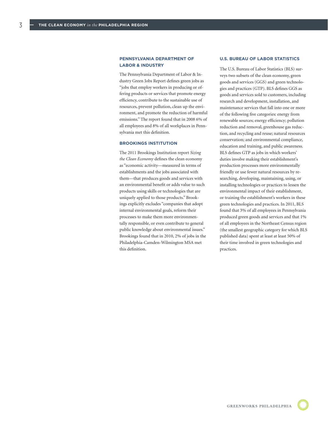3

#### **PENNSYLVANIA DEPARTMENT OF LABOR & INDUSTRY**

The Pennsylvania Department of Labor & Industry Green Jobs Report defines green jobs as "jobs that employ workers in producing or offering products or services that promote energy efficiency, contribute to the sustainable use of resources, prevent pollution, clean up the environment, and promote the reduction of harmful emissions." The report found that in 2008 6% of all employees and 8% of all workplaces in Pennsylvania met this definition.

#### **BROOKINGS INSTITUTION**

The 2011 Brookings Institution report *Sizing the Clean Economy* defines the clean economy as "economic activity—measured in terms of establishments and the jobs associated with them—that produces goods and services with an environmental benefit or adds value to such products using skills or technologies that are uniquely applied to those products." Brookings explicitly excludes "companies that adopt internal environmental goals, reform their processes to make them more environmentally responsible, or even contribute to general public knowledge about environmental issues." Brookings found that in 2010, 2% of jobs in the Philadelphia-Camden-Wilmington MSA met this definition.

#### **U.S. BUREAU OF LABOR STATISTICS**

The U.S. Bureau of Labor Statistics (BLS) surveys two subsets of the clean economy, green goods and services (GGS) and green technologies and practices (GTP). BLS defines GGS as goods and services sold to customers, including research and development, installation, and maintenance services that fall into one or more of the following five categories: energy from renewable sources; energy efficiency; pollution reduction and removal, greenhouse gas reduction, and recycling and reuse; natural resources conservation; and environmental compliance, education and training, and public awareness. BLS defines GTP as jobs in which workers' duties involve making their establishment's production processes more environmentally friendly or use fewer natural resources by researching, developing, maintaining, using, or installing technologies or practices to lessen the environmental impact of their establishment, or training the establishment's workers in these green technologies and practices. In 2011, BLS found that 3% of all employees in Pennsylvania produced green goods and services and that 1% of all employees in the Northeast Census region (the smallest geographic category for which BLS published data) spent at least at least 50% of their time involved in green technologies and practices.

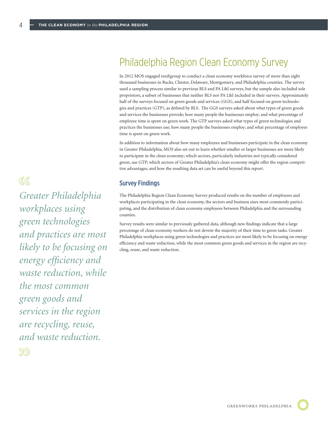# Philadelphia Region Clean Economy Survey

In 2012 MOS engaged reed|group to conduct a clean economy workforce survey of more than eight thousand businesses in Bucks, Chester, Delaware, Montgomery, and Philadelphia counties. The survey used a sampling process similar to previous BLS and PA L&I surveys, but the sample also included sole proprietors, a subset of businesses that neither BLS nor PA L&I included in their surveys. Approximately half of the surveys focused on green goods and services (GGS), and half focused on green technologies and practices (GTP), as defined by BLS. The GGS surveys asked about what types of green goods and services the businesses provide; how many people the businesses employ; and what percentage of employee time is spent on green work. The GTP surveys asked what types of green technologies and practices the businesses use; how many people the businesses employ; and what percentage of employee time is spent on green work.

In addition to information about how many employees and businesses participate in the clean economy in Greater Philadelphia, MOS also set out to learn whether smaller or larger businesses are more likely to participate in the clean economy; which sectors, particularly industries not typically considered green, use GTP; which sectors of Greater Philadelphia's clean economy might offer the region competitive advantages; and how the resulting data set can be useful beyond this report.

#### Survey Findings

The Philadelphia Region Clean Economy Survey produced results on the number of employees and workplaces participating in the clean economy, the sectors and business sizes most commonly participating, and the distribution of clean economy employees between Philadelphia and the surrounding counties.

Survey results were similar to previously gathered data, although new findings indicate that a large percentage of clean economy workers do not devote the majority of their time to green tasks. Greater Philadelphia workplaces using green technologies and practices are most likely to be focusing on energy efficiency and waste reduction, while the most common green goods and services in the region are recycling, reuse, and waste reduction.

 $\alpha$ 

4

*Greater Philadelphia workplaces using green technologies and practices are most likely to be focusing on energy efficiency and waste reduction, while the most common green goods and services in the region are recycling, reuse, and waste reduction.* 5)5)

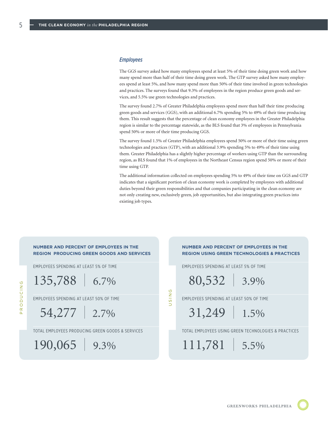#### *Employees*

The GGS survey asked how many employees spend at least 5% of their time doing green work and how many spend more than half of their time doing green work. The GTP survey asked how many employees spend at least 5%, and how many spend more than 50% of their time involved in green technologies and practices. The surveys found that 9.3% of employees in the region produce green goods and services, and 5.5% use green technologies and practices.

The survey found 2.7% of Greater Philadelphia employees spend more than half their time producing green goods and services (GGS), with an additional 6.7% spending 5% to 49% of their time producing them. This result suggests that the percentage of clean economy employees in the Greater Philadelphia region is similar to the percentage statewide, as the BLS found that 3% of employees in Pennsylvania spend 50% or more of their time producing GGS.

The survey found 1.5% of Greater Philadelphia employees spend 50% or more of their time using green technologies and practices (GTP), with an additional 3.9% spending 5% to 49% of their time using them. Greater Philadelphia has a slightly higher percentage of workers using GTP than the surrounding region, as BLS found that 1% of employees in the Northeast Census region spend 50% or more of their time using GTP.

The additional information collected on employees spending 5% to 49% of their time on GGS and GTP indicates that a significant portion of clean economy work is completed by employees with additional duties beyond their green responsibilities and that companies participating in the clean economy are not only creating new, exclusively green, job opportunities, but also integrating green practices into existing job types.

#### **NUMBER AND PERCENT OF EMPLOYEES IN THE REGION PRODUCING GREEN GOODS AND SERVICES**

EMPLOYEES SPENDING AT LEAST 5% OF TIME

135,788 | 6.7%

EMPLOYEES SPENDING AT LEAST 50% OF TIME

054,277 | 2.7%

TOTAL EMPLOYEES PRODUCING GREEN GOODS & SERVICES

190,065 | 9.3%

#### **NUMBER AND PERCENT OF EMPLOYEES IN THE REGION USING GREEN TECHNOLOGIES & PRACTICES**

EMPLOYEES SPENDING AT LEAST 5% OF TIME

080,532 | 3.9%

EMPLOYEES SPENDING AT LEAST 50% OF TIME

USING

031,249 | 1.5%

TOTAL EMPLOYEES USING GREEN TECHNOLOGIES & PRACTICES

111,781 | 5.5%

5

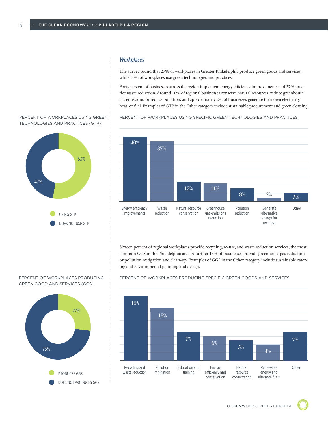# *Workplaces* 15

The survey found that 27% of workplaces in Greater Philadelphia produce green goods and services, while 53% of workplaces use green technologies and practices.

Forty percent of businesses across the region implement energy efficiency improvements and 37% prac-Forty percent of businesses across the region implement energy efficiency improvements and 37% prac-<br>tice waste reduction. Around 10% of regional businesses conserve natural resources, reduce greenhouse gas emissions, or reduce pollution, and approximately 2% of businesses generate their own electricity, 0 heat, or fuel. Examples of GTP in the Other category include sustainable procurement and green cleaning.

PERCENT OF WORKPLACES USING SPECIFIC GREEN TECHNOLOGIES AND PRACTICES



Sixteen percent of regional workplaces provide recycling, re-use, and waste reduction services, the most common GGS in the Philadelphia area. A further 13% of businesses provide greenhouse gas reduction 10 or pollution mitigation and clean-up. Examples of GGS in the Other category include sustainable cater-<br>or pollution mitigation and clean-up. Examples of GGS in the Other category include sustainable catering and environmental planning and design. *e* category include sustainable c

PERCENT OF WORKPLACES PRODUCING SPECIFIC GREEN GOODS AND SERVICES



#### PERCENT OF WORKPLACES USING GREEN TECHNOLOGIES AND PRACTICES (GTP)

6



PERCENT OF WORKPLACES PRODUCING GREEN GOOD AND SERVICES (GGS)



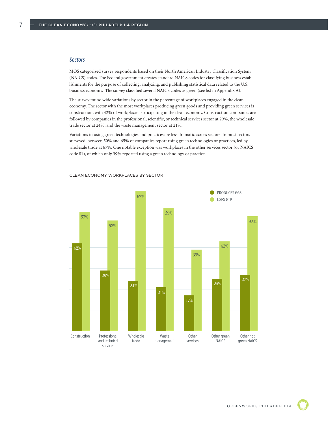#### *Sectors*

7

MOS categorized survey respondents based on their North American Industry Classification System (NAICS) codes. The Federal government creates standard NAICS codes for classifying business establishments for the purpose of collecting, analyzing, and publishing statistical data related to the U.S. business economy. The survey classified several NAICS codes as green (see list in Appendix A).

The survey found wide variations by sector in the percentage of workplaces engaged in the clean economy. The sector with the most workplaces producing green goods and providing green services is construction, with 42% of workplaces participating in the clean economy. Construction companies are followed by companies in the professional, scientific, or technical services sector at 29%, the wholesale trade sector at 24%, and the waste management sector at 21%.

Variations in using green technologies and practices are less dramatic across sectors. In most sectors surveyed, between 50% and 65% of companies report using green technologies or practices, led by wholesale trade at 67%. One notable exception was workplaces in the other services sector (or NAICS code 81), of which only 39% reported using a green technology or practice.



CLEAN ECONOMY WORKPLACES BY SECTOR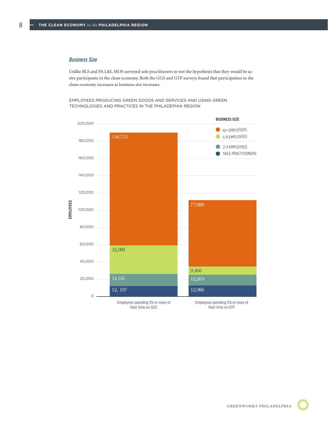### *Business Size*  8

14

8

Unlike BLS and PA L&I, MOS surveyed sole practitioners to test the hypothesis that they would be ac-Unlike BLS and PA L&I, MOS surveyed sole practitioners to test the hypothesis that they would be active participation in the clean economy. Both the GGS and GTP surveys found that participation in the clean economy increases as business size increases.

en overs producing green goods and services and lising green conservation conservation TECHNOLOGIES AND PRACTICES IN THE PHILADEPHIA REGION EMPLOYEES PRODUCING GREEN GOODS AND SERVICES AND USING GREEN<br>TEGUNOLOGIES AND PRACTICES IN THE BUILAREDUM PEGION.





GREENWORKS PHILADELPHIA



**140000**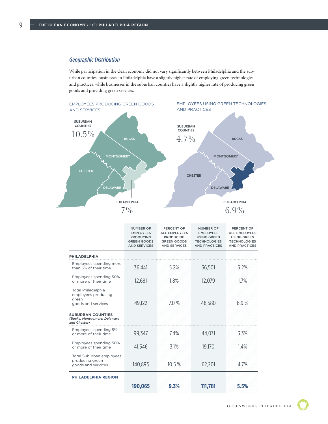#### *Geographic Distribution*

While participation in the clean economy did not vary significantly between Philadelphia and the suburban counties, businesses in Philadelphia have a slightly higher rate of employing green technologies and practices, while businesses in the suburban counties have a slightly higher rate of producing green goods and providing green services.



|                                                                                                                                      | <b>NUMBER OF</b><br><b>EMPLOYEES</b><br><b>PRODUCING</b><br><b>GREEN GOODS</b><br><b>AND SERVICES</b> | PERCENT OF<br><b>ALL EMPLOYEES</b><br><b>PRODUCING</b><br><b>GREEN GOODS</b><br><b>AND SERVICES</b> | <b>NUMBER OF</b><br><b>EMPLOYEES</b><br><b>USING GREEN</b><br><b>TECHNOLOGIES</b><br><b>AND PRACTICES</b> | PERCENT OF<br><b>ALL EMPLOYEES</b><br><b>USING GREEN</b><br><b>TECHNOLOGIES</b><br><b>AND PRACTICES</b> |
|--------------------------------------------------------------------------------------------------------------------------------------|-------------------------------------------------------------------------------------------------------|-----------------------------------------------------------------------------------------------------|-----------------------------------------------------------------------------------------------------------|---------------------------------------------------------------------------------------------------------|
| <b>PHILADELPHIA</b>                                                                                                                  |                                                                                                       |                                                                                                     |                                                                                                           |                                                                                                         |
| Employees spending more<br>than 5% of their time                                                                                     | 36,441                                                                                                | 5.2%                                                                                                | 36,501                                                                                                    | 5.2%                                                                                                    |
| Employees spending 50%<br>or more of their time                                                                                      | 12,681                                                                                                | 1.8%                                                                                                | 12,079                                                                                                    | 1.7%                                                                                                    |
| Total Philadelphia<br>employees producing<br>green<br>goods and services<br><b>SUBURBAN COUNTIES</b><br>(Bucks, Montgomery, Delaware | 49,122                                                                                                | 7.0%                                                                                                | 48,580                                                                                                    | 6.9%                                                                                                    |
| and Chester)<br>Employees spending 5%                                                                                                |                                                                                                       |                                                                                                     |                                                                                                           |                                                                                                         |
| or more of their time                                                                                                                | 99,347                                                                                                | 7.4%                                                                                                | 44,031                                                                                                    | 3.3%                                                                                                    |
| Employees spending 50%<br>or more of their time                                                                                      | 41,546                                                                                                | 3.1%                                                                                                | 19,170                                                                                                    | 1.4%                                                                                                    |
| <b>Total Suburban employees</b><br>producing green<br>goods and services                                                             | 140,893                                                                                               | 10.5%                                                                                               | 62,201                                                                                                    | 4.7%                                                                                                    |
| PHILADELPHIA REGION                                                                                                                  |                                                                                                       |                                                                                                     |                                                                                                           |                                                                                                         |
|                                                                                                                                      | 190,065                                                                                               | 9.3%                                                                                                | 111,781                                                                                                   | 5.5%                                                                                                    |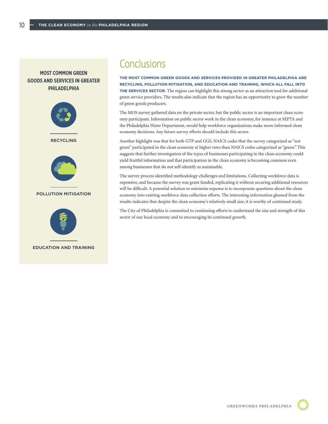#### **MOST COMMON GREEN GOODS AND SERVICES IN GREATER PHILADELPHIA**



**EDUCATION AND TRAINING**

# **Conclusions**

**THE MOST COMMON GREEN GOODS AND SERVICES PROVIDED IN GREATER PHILADELPHIA ARE RECYCLING, POLLUTION MITIGATION, AND EDUCATION AND TRAINING, WHICH ALL FALL INTO THE SERVICES SECTOR.** The region can highlight this strong sector as an attraction tool for additional green service providers. The results also indicate that the region has an opportunity to grow the number of green goods producers.

The MOS survey gathered data on the private sector, but the public sector is an important clean economy participant. Information on public sector work in the clean economy, for instance at SEPTA and the Philadelphia Water Department, would help workforce organizations make more informed clean economy decisions. Any future survey efforts should include this sector.

Another highlight was that for both GTP and GGS, NAICS codes that the survey categorized as "not green" participated in the clean economy at higher rates than NAICS codes categorized as "green." This suggests that further investigation of the types of businesses participating in the clean economy could yield fruitful information and that participation in the clean economy is becoming common even among businesses that do not self-identify as sustainable.

The survey process identified methodology challenges and limitations. Collecting workforce data is expensive, and because the survey was grant funded, replicating it without securing additional resources will be difficult. A potential solution to minimize expense is to incorporate questions about the clean economy into existing workforce data collection efforts. The interesting information gleaned from the results indicates that despite the clean economy's relatively small size, it is worthy of continued study.

The City of Philadelphia is committed to continuing efforts to understand the size and strength of this sector of our local economy and to encouraging its continued growth.

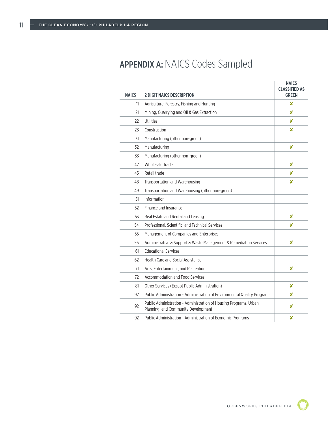# APPENDIX A: NAICS Codes Sampled

| <b>NAICS</b> | <b>2 DIGIT NAICS DESCRIPTION</b>                                                                         | <b>NAICS</b><br><b>CLASSIFIED AS</b><br><b>GREEN</b> |
|--------------|----------------------------------------------------------------------------------------------------------|------------------------------------------------------|
| 11           | Agriculture, Forestry, Fishing and Hunting                                                               | x                                                    |
| 21           | Mining, Quarrying and Oil & Gas Extraction                                                               | x                                                    |
| 22           | Utilities                                                                                                | x                                                    |
| 23           | Construction                                                                                             | x                                                    |
| 31           | Manufacturing (other non-green)                                                                          |                                                      |
| 32           | Manufacturing                                                                                            | x                                                    |
| 33           | Manufacturing (other non-green)                                                                          |                                                      |
| 42           | Wholesale Trade                                                                                          | x                                                    |
| 45           | Retail trade                                                                                             | x                                                    |
| 48           | Transportation and Warehousing                                                                           | x                                                    |
| 49           | Transportation and Warehousing (other non-green)                                                         |                                                      |
| 51           | Information                                                                                              |                                                      |
| 52           | Finance and Insurance                                                                                    |                                                      |
| 53           | Real Estate and Rental and Leasing                                                                       | x                                                    |
| 54           | Professional, Scientific, and Technical Services                                                         | x                                                    |
| 55           | Management of Companies and Enterprises                                                                  |                                                      |
| 56           | Administrative & Support & Waste Management & Remediation Services                                       | x                                                    |
| 61           | <b>Educational Services</b>                                                                              |                                                      |
| 62           | Health Care and Social Assistance                                                                        |                                                      |
| 71           | Arts. Entertainment, and Recreation                                                                      | ×                                                    |
| 72           | <b>Accommodation and Food Services</b>                                                                   |                                                      |
| 81           | Other Services (Except Public Administration)                                                            | x                                                    |
| 92           | Public Administration - Administration of Environmental Quality Programs                                 | x                                                    |
| 92           | Public Administration - Administration of Housing Programs, Urban<br>Planning, and Community Development | ×                                                    |
| 92           | Public Administration - Administration of Economic Programs                                              | ×                                                    |